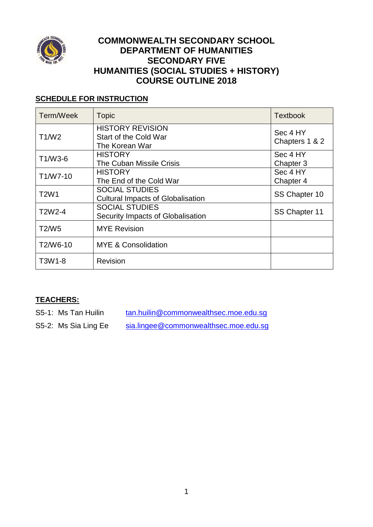

## **COMMONWEALTH SECONDARY SCHOOL DEPARTMENT OF HUMANITIES SECONDARY FIVE HUMANITIES (SOCIAL STUDIES + HISTORY) COURSE OUTLINE 2018**

# **SCHEDULE FOR INSTRUCTION**

| Term/Week                        | <b>Topic</b>                                                       | <b>Textbook</b>            |
|----------------------------------|--------------------------------------------------------------------|----------------------------|
| T1/W2                            | <b>HISTORY REVISION</b><br>Start of the Cold War<br>The Korean War | Sec 4 HY<br>Chapters 1 & 2 |
| T1/W3-6                          | <b>HISTORY</b><br>The Cuban Missile Crisis                         | Sec 4 HY<br>Chapter 3      |
| T1/W7-10                         | <b>HISTORY</b><br>The End of the Cold War                          | Sec 4 HY<br>Chapter 4      |
| T <sub>2</sub> W <sub>1</sub>    | <b>SOCIAL STUDIES</b><br><b>Cultural Impacts of Globalisation</b>  | SS Chapter 10              |
| T <sub>2</sub> W <sub>2</sub> -4 | <b>SOCIAL STUDIES</b><br>Security Impacts of Globalisation         | SS Chapter 11              |
| T <sub>2</sub> /W <sub>5</sub>   | <b>MYE Revision</b>                                                |                            |
| T2/W6-10                         | <b>MYE &amp; Consolidation</b>                                     |                            |
| T3W1-8                           | Revision                                                           |                            |

## **TEACHERS:**

S5-1: Ms Tan Huilin [tan.huilin@commonwealthsec.moe.edu.sg](mailto:tan.huilin@commonwealthsec.moe.edu.sg) S5-2: Ms Sia Ling Ee [sia.lingee@commonwealthsec.moe.edu.sg](mailto:sia.lingee@commonwealthsec.moe.edu.sg)